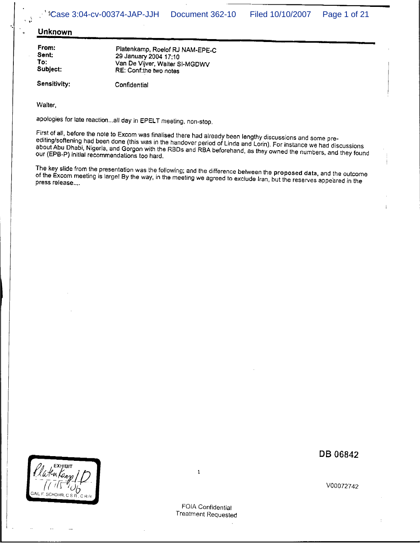## Unknown

From: Sent: To: Subject:

Platenkamp, Roelof RJ NAM-EPE-C 29 January 2004 17:10 Van De Vijver, Waiter SI-MGDWV RE: Conf:the two notes

Sensitivity: Confidential

Walter,

apologies for late reaction...all day in EPELT meeting, non-stop.

First of all, before the note to Excom was finalised there had already been lengthy discussions and some preediting/softening had been done (this was in the handover period of Linda and Lorin). For instance we had discussions about Abu Dhabi, Nigeria, and Gorgon with the RBDs and RBA beforehand, as they owned the numbers, and they found our (EPB-P) initial recommendations too hard.

The key slide from the presentation was the following; and the difference between the proposed data, and the outcome of the Excom meeting is large! By the way, in the meeting we agreed to exclude Iran, but the reserves appeared in the press release....



DB 06842

 $\mathbf{1}$ 

FOIA Confidential **Treatment Requested**  V00072742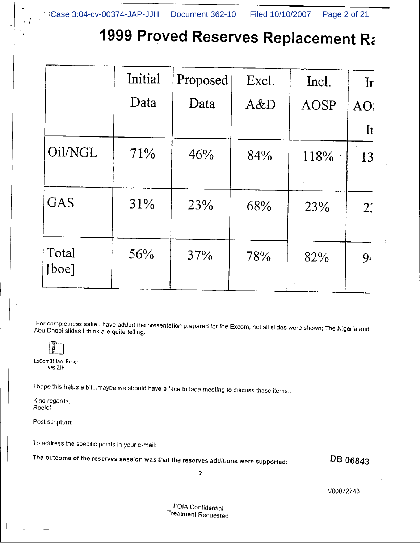## 1999 Proved Reserves Replacement Ra

|                | Initial | Proposed | Excl. | Incl.       | $\mathbf{r}$                    |
|----------------|---------|----------|-------|-------------|---------------------------------|
|                | Data    | Data     | A&D   | <b>AOSP</b> | AO.                             |
|                |         |          |       |             | $\mathbf{\mathbf{\mathbf{I}}}%$ |
| Oil/NGL        | 71%     | 46%      | 84%   | 118%        | 13                              |
| <b>GAS</b>     | 31%     | 23%      | 68%   | 23%         | $2^{\prime}$                    |
| Total<br>[boe] | 56%     | 37%      | 78%   | 82%         | 9 <sub>1</sub>                  |

For completness sake I have added the presentation prepared for the Excom, not all slides were shown; The Nigeria and Abu Dhabi slides I think are quite telling.

ExCom31Jan\_Reser ves.ZIP

I hope this helps a bit...maybe we should have a face to face meeting to discuss these items..

Kind regards. Roelof

Post scriptum:

To address the specific points in your e-mail:

The outcome of the reserves session was that the reserves additions were supported:

DB 06843

 $\overline{2}$ 

V00072743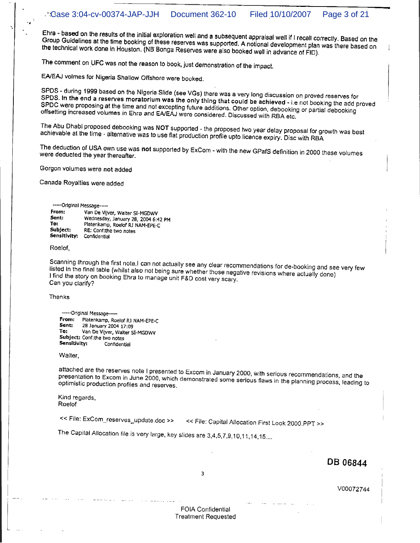Ehra - based on the results of the initial exploration well and a subsequent appraisal well if I recall correctly. Based on the Group Guidelines at the time booking of these reserves was supported. A notional development plan was there based on the technical work done in Houston. (NB Bonga Reserves were also booked well in advance of FID).

The comment on UFC was not the reason to book, just demonstration of the impact.

EA/EAJ volmes for Nigeria Shallow Offshore were booked.

SPDS - during 1999 based on the Nigeria Slide (see VGs) there was a very long discussion on proved reserves for SPDS. In the end a reserves moratorium was the only thing that could be achieved - i.e not booking the add proved SPDC were proposing at the time and not excepting future additions. Other option, debooking or partial debooking offsetting increased volumes in Ehra and EA/EAJ were considered. Discussed with RBA etc.

The Abu Dhabi proposed debooking was NOT supported - the proposed two year delay proposal for growth was best achievable at the time - alternative was to use flat production profile upto licence expiry. Disc with RBA

The deduction of USA own use was not supported by ExCom - with the new GPafS definition in 2000 these volumes were deducted the year thereafter.

Gorgon volumes were not added

Canada Royalties were added

## -----Original Message----

| From:        | Van De Vijver, Walter SI-MGDWV      |
|--------------|-------------------------------------|
| Sent:        | Wednesday, January 28, 2004 6:42 PM |
| To:          | Platenkamp, Roelof RJ NAM-EPE-C     |
| Subject:     | RE: Conf:the two notes              |
| Sensitivity: | Confidential                        |

## Roelof,

Scanning through the first note,I can not actually see any clear recommendations for de-booking and see very few listed in the final table (whilst also not being sure whether those negative revisions where actually done) I find the story on booking Ehra to manage unit F&D cost very scary, Can you clarify?

**Thanks** 

----- Original Message--From: Platenkamp, Roelof RJ NAM-EPE-C Sent: 28 January 2004 17:09 To: Van De Vijver, Walter SI-MGDWV Subject: Conf:the two notes Sensitivity: Confidential

Walter,

attached are the reserves note I presented to Excom in January 2000, with serious recommendations, and the presentation to Excom in June 2000, which demonstrated some serious flaws in the planning process, leading to optimistic production profiles and reserves.

Kind regards, Roelof

<< File: ExCom\_reserves\_update.doc >>

<< File: Capital Allocation First Look 2000.PPT >>

The Capital Allocation file is very large, key slides are 3,4,5,7,9,10,11,14,15....

DB 06844

 $\overline{3}$ 

V00072744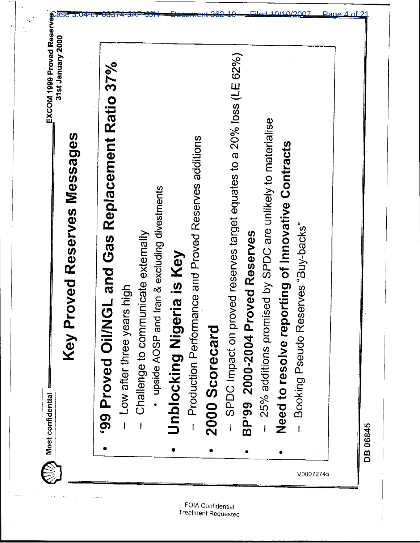| GL and Gas Replacement Ratio 37%<br>99 Proved Oil/N                       |
|---------------------------------------------------------------------------|
| ow after three years high                                                 |
| Challenge to communicate externally                                       |
| upside AOSP and Iran & excluding divestments                              |
| Unblocking Nigeria is Key                                                 |
| Production Performance and Proved Reserves additions<br>$\overline{1}$    |
| 2000 Scorecard                                                            |
| oved reserves target equates to a 20% loss (LE 62%)<br>SPDC Impact on pro |
| oved Reserves<br>BP'99 2000-2004 Pr                                       |
| 25% additions promised by SPDC are unlikely to materialise                |
| orting of Innovative Contracts<br>Need to resolve rep                     |
| Booking Pseudo Reserves "Buy-backs"                                       |
|                                                                           |

 $\mathcal{C}$ 

 $\hat{\lambda}$  $\mathcal{L}_{\mathcal{A}}$ 

 $\bar{\phantom{a}}$ 

 $\omega_{\rm{max}}$ 

 $\rightarrow \rho$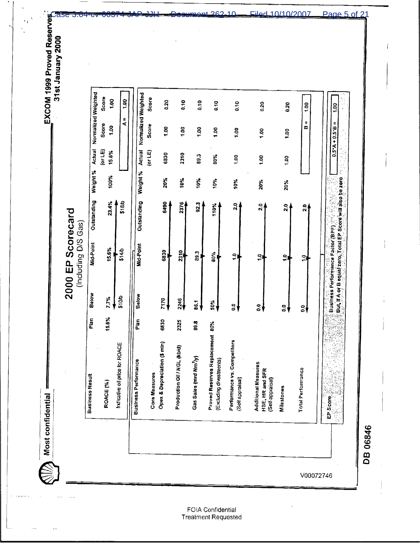EXCOM 1999 Proved Reserves

2000 EP Scorecard

Most confidential

 $\textcircled{S}$ 

 $\ddotsc$ 

| 6830<br>2310<br>$\frac{3}{2}$<br>80%<br>$\Xi$<br>001<br>$\frac{1}{2}$<br>Weight %<br>Weight %<br>100%<br>20%<br>10%<br>10%<br>10%<br>10%<br>20%<br>20%<br>Outstanding<br>23.4%<br>\$18/5<br>Outstanding<br>6450<br>2376<br>923<br>្ត<br>110%<br>$\overline{2}$ .0<br>$\frac{1}{2}$<br><u>្ដី</u><br>Mid-Point<br>Mid-Point<br>15.6%<br>\$14/b<br>6830<br>2310<br>п<br>33<br>80%<br>$\frac{1}{2}$<br>ă<br>$\frac{1}{2}$<br>S,<br>Below<br>Below<br>\$10/b<br>7.7%<br>7170<br>2246<br>50%<br>86.1<br>$\frac{0}{2}$<br>$\ddot{\circ}$<br>3∮<br>3∤<br>V<br>15.6%<br>Plan<br>6830<br>Ptan<br>2325<br>89.B<br>Reserves Replacement 80%<br>Performance vs. Competitors<br>& Depreciation (\$ min)<br>Indicative oil price for ROACE<br>Production Oil / NGL (kb/d)<br>Gas Sales (mrd Nm <sup>3</sup> y)<br>ng divestments)<br><b>Business Performance</b><br>Additional Measures<br>Total Performance<br>HSE, HR and SFR<br>Core Measures<br>Business Result<br>(Self appraisal)<br>(Self-appraisal)<br>ROACE <sub>(%)</sub><br><b>Milestones</b><br>Opex &<br>Proved<br>(Excludi | Normalized Weighted | Score<br>$\frac{8}{100}$<br>Score<br>ថ្មី | e.<br>$\frac{1}{4}$ | Normalized Weighted | Score<br>Score | 320<br>$\overline{5}$ | $\frac{0}{10}$<br>1.00 | $\frac{1}{2}$<br>$\frac{8}{1}$ | $\frac{9}{9}$<br>$\frac{8}{100}$ | $\frac{8}{5}$<br>$\frac{5}{2}$ | 0.20<br>1.00 | 820<br>$\frac{8}{1}$ | 1.00<br>Ħ<br>m |
|----------------------------------------------------------------------------------------------------------------------------------------------------------------------------------------------------------------------------------------------------------------------------------------------------------------------------------------------------------------------------------------------------------------------------------------------------------------------------------------------------------------------------------------------------------------------------------------------------------------------------------------------------------------------------------------------------------------------------------------------------------------------------------------------------------------------------------------------------------------------------------------------------------------------------------------------------------------------------------------------------------------------------------------------------------------------------|---------------------|-------------------------------------------|---------------------|---------------------|----------------|-----------------------|------------------------|--------------------------------|----------------------------------|--------------------------------|--------------|----------------------|----------------|
|                                                                                                                                                                                                                                                                                                                                                                                                                                                                                                                                                                                                                                                                                                                                                                                                                                                                                                                                                                                                                                                                            | Actual              | (or LE)<br>15.6%                          |                     | Actual              | $(\sigma L E)$ |                       |                        |                                |                                  |                                |              |                      |                |
|                                                                                                                                                                                                                                                                                                                                                                                                                                                                                                                                                                                                                                                                                                                                                                                                                                                                                                                                                                                                                                                                            |                     |                                           |                     |                     |                |                       |                        |                                |                                  |                                |              |                      |                |
|                                                                                                                                                                                                                                                                                                                                                                                                                                                                                                                                                                                                                                                                                                                                                                                                                                                                                                                                                                                                                                                                            |                     |                                           |                     |                     |                |                       |                        |                                |                                  |                                |              |                      |                |
|                                                                                                                                                                                                                                                                                                                                                                                                                                                                                                                                                                                                                                                                                                                                                                                                                                                                                                                                                                                                                                                                            |                     |                                           |                     |                     |                |                       |                        |                                |                                  |                                |              |                      |                |
|                                                                                                                                                                                                                                                                                                                                                                                                                                                                                                                                                                                                                                                                                                                                                                                                                                                                                                                                                                                                                                                                            |                     |                                           |                     |                     |                |                       |                        |                                |                                  |                                |              |                      |                |
|                                                                                                                                                                                                                                                                                                                                                                                                                                                                                                                                                                                                                                                                                                                                                                                                                                                                                                                                                                                                                                                                            |                     |                                           |                     |                     |                |                       |                        |                                |                                  |                                |              |                      |                |
|                                                                                                                                                                                                                                                                                                                                                                                                                                                                                                                                                                                                                                                                                                                                                                                                                                                                                                                                                                                                                                                                            |                     |                                           |                     |                     |                |                       |                        |                                |                                  |                                |              |                      |                |

362

 $1<sub>0</sub>$ 

Filed 10/10/2007

Page 5 of 21

**DB 06846**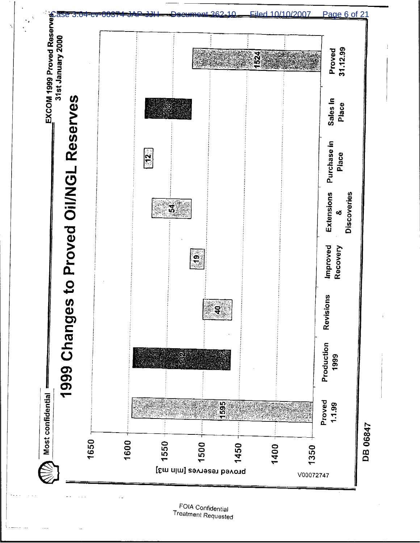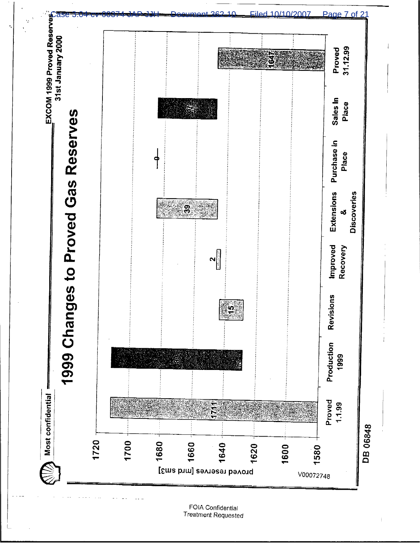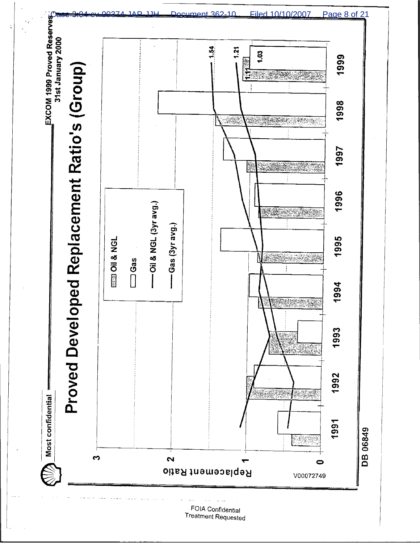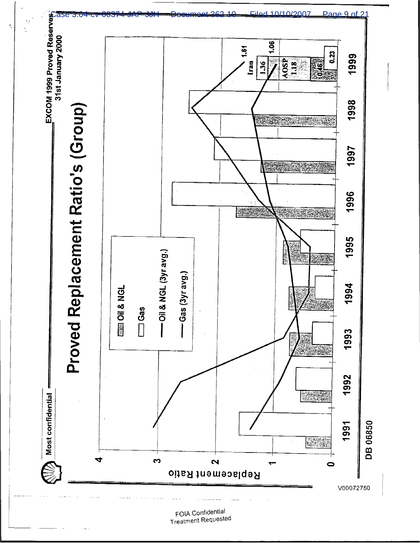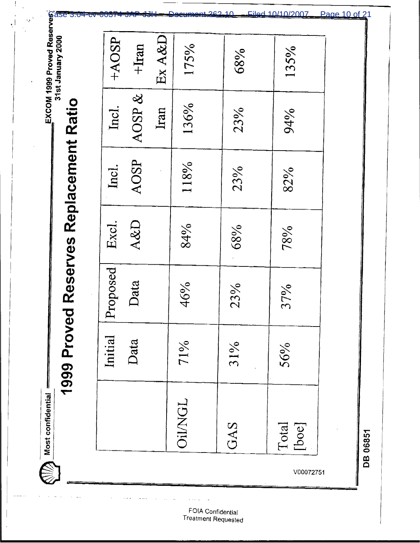EXCOM 1999 Proved Reserves<br>
3:04.0000<br>
CASE 3:04-COCP<br>
COCP<br>
COCP<br>
COCP<br>
COCP<br>
COCP<br>
COCP<br>
COCP<br>
COCP<br>
COCP<br>
COCP<br>
COCP<br>
COCP<br>
COCP<br>
COCP<br>
COCP<br>
COCP<br>
COCP<br>
COCP<br>
COCP<br>
COCP<br>
COCP<br>
COCP<br>
COCP<br>
COCP<br>
COCP<br>
COCP<br>
COCP<br>
COCP Ex A&D  $+AOSP$  $+$ Iran 175% 135% 68% AOSP & 1999 Proved Reserves Replacement Ratio 136% Incl. Iran 23% 94% AOSP 118% Incl. 23% 82% Excl. A&D 84% 68% 78% Proposed Data 46% 23% 37% Initial Data 71% 31% 56%  $\bigotimes_{i=1}^{\infty} \mathbb{M}$ ost confidential **Oil/NGL** GAS Total<br>[boe] DB 06851 V00072751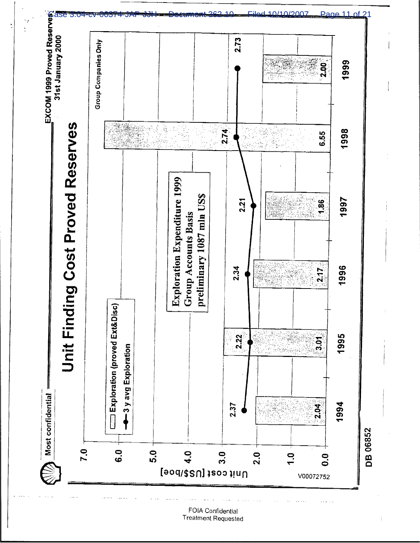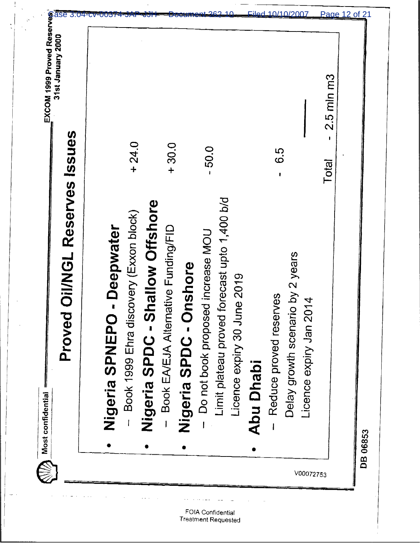| $+24.0$<br>$-30.0$<br>50.0<br>G.G<br><b>Total</b><br>Limit plateau proved forecast upto 1,400 b/d<br>hallow Offshore<br>Book 1999 Ehra discovery (Exxon block)<br>Book EA/EJA Alternative Funding/FID<br>- Deepwater<br>Do not book proposed increase MOU<br>Delay growth scenario by 2 years<br>Nigeria SPDC - Onshore<br>Licence expiry 30 June 2019<br>Reduce proved reserves<br>$\overline{1}4$<br>Licence expiry Jan 20<br>Nigeria SPDC - SI<br>Nigeria SPNEPO<br>Abu Dhabi | $2.5$ mln m $3$ | <b>Oil/NGL Reserves Issues</b><br>Proved | 31st January 2000 |
|----------------------------------------------------------------------------------------------------------------------------------------------------------------------------------------------------------------------------------------------------------------------------------------------------------------------------------------------------------------------------------------------------------------------------------------------------------------------------------|-----------------|------------------------------------------|-------------------|
|                                                                                                                                                                                                                                                                                                                                                                                                                                                                                  |                 |                                          |                   |
|                                                                                                                                                                                                                                                                                                                                                                                                                                                                                  |                 |                                          |                   |
|                                                                                                                                                                                                                                                                                                                                                                                                                                                                                  |                 |                                          |                   |
|                                                                                                                                                                                                                                                                                                                                                                                                                                                                                  |                 |                                          |                   |
|                                                                                                                                                                                                                                                                                                                                                                                                                                                                                  |                 |                                          |                   |
|                                                                                                                                                                                                                                                                                                                                                                                                                                                                                  |                 |                                          |                   |
|                                                                                                                                                                                                                                                                                                                                                                                                                                                                                  |                 |                                          |                   |
|                                                                                                                                                                                                                                                                                                                                                                                                                                                                                  |                 |                                          |                   |
|                                                                                                                                                                                                                                                                                                                                                                                                                                                                                  |                 |                                          |                   |
|                                                                                                                                                                                                                                                                                                                                                                                                                                                                                  |                 |                                          |                   |
|                                                                                                                                                                                                                                                                                                                                                                                                                                                                                  |                 |                                          |                   |
|                                                                                                                                                                                                                                                                                                                                                                                                                                                                                  |                 |                                          |                   |
|                                                                                                                                                                                                                                                                                                                                                                                                                                                                                  |                 |                                          |                   |

J

 $\bar{\alpha}$ 

 $\bar{\omega}$ 

÷,

 $\boldsymbol{\beta}$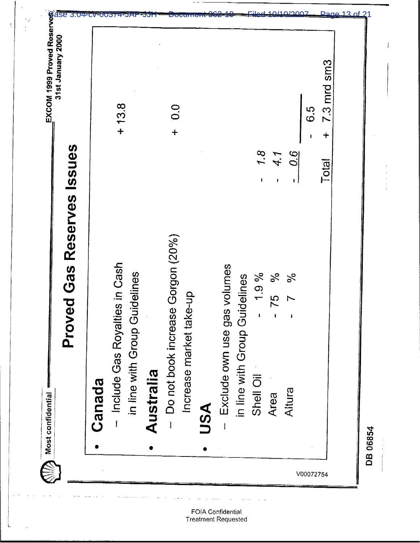| - Include Gas Royalties in Cash<br>Canada |          |              |                                |
|-------------------------------------------|----------|--------------|--------------------------------|
|                                           |          |              |                                |
| in line with Group Guidelines             |          |              | $+13.8$                        |
| Australia                                 |          |              |                                |
| Do not book increase Gorgon (20%)         |          |              | $\frac{0}{2}$<br>$\ddot{+}$    |
| dn-a<br>Increase market tak               |          |              |                                |
| USA                                       |          |              |                                |
| Exclude own use gas volumes               |          |              |                                |
| in line with Group Guidelines             |          |              |                                |
| Shell Oil                                 | 1.9%     | 7.8          |                                |
| 75<br>Area                                | $\%$     | 4.1          |                                |
| $\mathbf{I}$<br>Altura                    | $\aleph$ | 0.G          |                                |
|                                           |          |              | 6.5                            |
|                                           |          | <b>Total</b> | $7.3$ mrd sm $3$<br>$\ddagger$ |

 $\tilde{\mathbb{Z}}$ 

FOIA Confidential<br>Treatment Requested

 $\sim$   $\sim$   $\sim$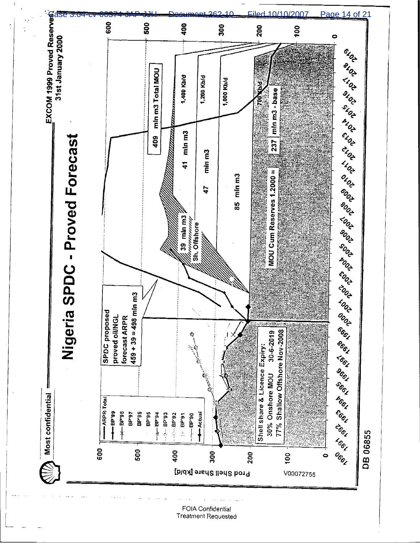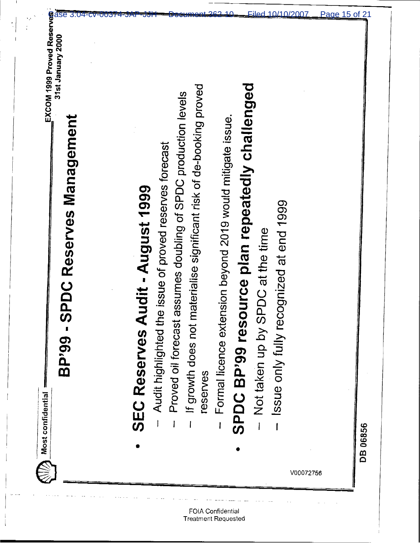|  | V00072756 | Issue only fully recognized at end 1999 |  |  |  | materialise significant risk of de-booking proved<br>If growth does not | Proved oil forecast | <b>SEC Reserves Audit - August 1999</b> |  |  | EXCOM 1999 Proved Reserves<br>31st January 2000<br>C M (31st January 2000)<br>C M (31st January 2000)<br>SPDC BP'99 resource plan repeatedly challenged<br>assumes doubling of SPDC production levels<br>Formal licence extension beyond 2019 would mitigate issue.<br><b>SPDC Reserves Management</b><br>Audit highlighted the issue of proved reserves forecast<br>Not taken up by SPDC at the time<br><b>BP</b> '99<br>reserves<br>Most confidential |
|--|-----------|-----------------------------------------|--|--|--|-------------------------------------------------------------------------|---------------------|-----------------------------------------|--|--|---------------------------------------------------------------------------------------------------------------------------------------------------------------------------------------------------------------------------------------------------------------------------------------------------------------------------------------------------------------------------------------------------------------------------------------------------------|
|--|-----------|-----------------------------------------|--|--|--|-------------------------------------------------------------------------|---------------------|-----------------------------------------|--|--|---------------------------------------------------------------------------------------------------------------------------------------------------------------------------------------------------------------------------------------------------------------------------------------------------------------------------------------------------------------------------------------------------------------------------------------------------------|

.

 $\frac{1}{2}$ 

j.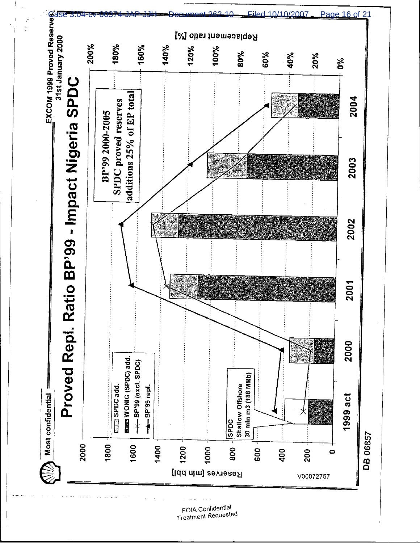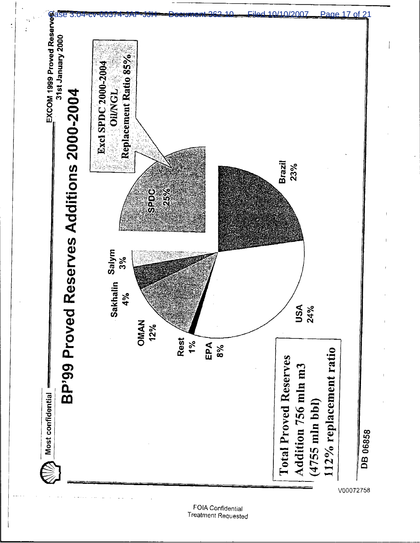

FOIA Confidential **Treatment Requested**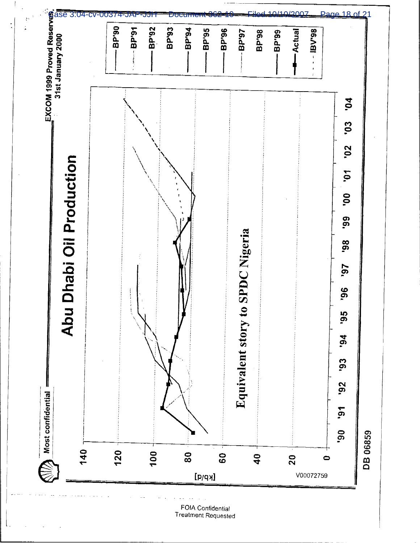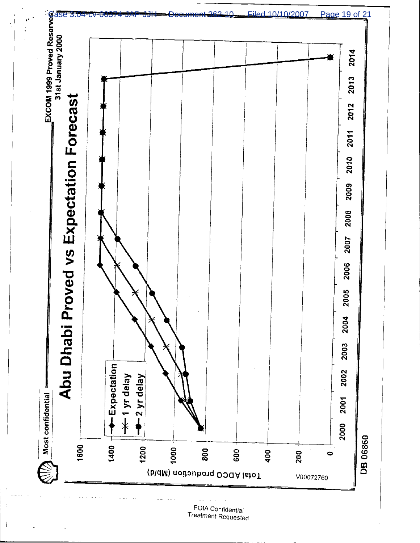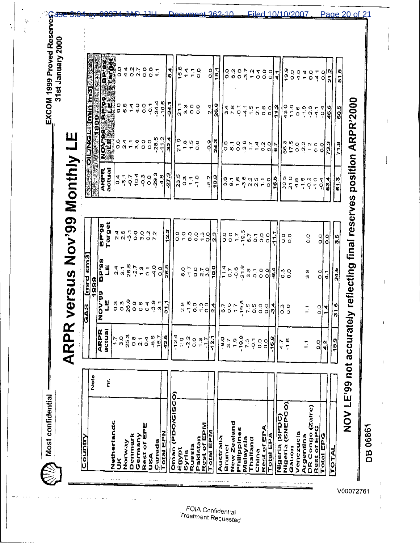EXCOM 1999 Proved Reserves 31st January 2000

as

 $\ddot{\varphi}$  $\dot{r}$ 

**ARPR versus Nov'99 Monthly LE** 

Most confidential

NOV999 BP'99<br>LEBERT BLOG BP'989<br>LEBERT BRY989  $7000007$  $\frac{6}{5}$ o.  $\begin{array}{c} 0 \\ 7 \end{array}$  $\begin{bmatrix} 0 & 0 & 0 & 0 \\ 0 & 0 & 0 & 0 \\ 0 & 0 & 0 & 0 \end{bmatrix}$  $7000$  $\frac{1}{2}$  $\frac{1}{2}$  $18.1$  $\frac{4}{9}$  $\frac{L}{4}$  $0.040$ <br>  $0.400$ 518  $21.2$  $\frac{1}{4}$  $\frac{0}{0}$  $\ddot{ }$ **wakatololo de [minima]** NOV LE'99 not accurately reflecting final reserves position ARPR'2000  $-34.4$  $10.6$ **6.6**  $\frac{400}{4004}$ -<br>34.7  $\frac{1}{2}$  $\begin{array}{ccc} 0&0&0\\ 0&0&0 \end{array}$  $\frac{8}{26}$  $\sqrt{9.90}$ <br>  $\sqrt{17.90}$  $\frac{4}{2}$  $a \times b$ <br> $d \times a$  $\frac{1}{4}$  $\frac{5}{1}$  $7000$ 11.2  $-18$ <br> $-2.6$ 46.6 |s<br>|50 "我们的日日"  $\frac{1}{4}$  $\ddot{Q}$  $-28.5$  $112$  $32.4$  $\begin{array}{c} 0.960 \\ 7.400 \\ 7.100 \end{array}$  $7 - 000$ <br>  $7 - 0000$  $\frac{3}{24.3}$ ြ<br>ပြစ်ဝဂ္  $0,0$  $8500200000$  $790$  $\frac{1}{2}$  $rac{Q}{Q}$  $\frac{3}{2}$  $\frac{1}{2}$  $\overline{5}$ **ARPR** actual  $\begin{array}{c} 704 \end{array}$  $-29.3$  $27.3$  $\begin{array}{c} \n \overline{a} - \overline{b} \\
 0 & \overline{q} \nabla \overline{q}\n\end{array}$  $\begin{smallmatrix} 0 & 0 \\ 0 & 0 \end{smallmatrix}$  $\frac{15}{23}$  $\frac{8}{7}$  $-1.0$ 18.8  $\frac{16}{30}$  $-5.2$  $\frac{1}{2}$  $\frac{\varphi}{\omega}$   $\frac{\varphi}{\varphi}$  $\frac{16.5}{16.5}$  $\frac{0}{2}$  $\frac{1}{2}$  $\sum_{i=1}^{n}$  $\frac{1}{4}$   $\frac{1}{4}$   $\frac{1}{6}$   $\frac{1}{6}$  $\frac{1}{2}$ 53.4  $\overline{P}$ **Target** 86.da  $\begin{array}{c} \n 76 \\
 \n 07 \\
 \n 09\n \end{array}$  $12.3$  $0.0776$ <br> $0.0776$ OONN<br>OMON  $99990$  $\frac{0}{0}$ n<br>N  $111.1$  $\overline{0}$  $\frac{0}{0}$  $\overline{6}$  $\overline{c}$ o.o  $\circ$  $\mathbf{S}^{\mathbf{O}}_{\mathbf{O}}$  $\frac{0}{0}$  $\frac{1}{2}$ ່ທ<br>ຕ  $\overline{\delta}$ GAS [mrd sm3] 86.dB  $247$ <br> $267$ <br> $267$  $\frac{11}{2}$  $\frac{0}{9}$  0  $\frac{9}{2}$   $\frac{1}{2}$ 26.8  $-21.8$ 8.07  $10.0$  $11.4$  $0.70$ <br> $0.70$  $-0.6$  $\frac{8}{3}$  $\begin{array}{ccc}\n\bullet & 0 & 0 \\
\bullet & 0 & 0\n\end{array}$ र<br>ए  $\frac{34.5}{3}$  $\sigma$ .7  $\omega$  of  $\omega$  $\circ$  $\frac{1}{4}$ ၀ ၀  $\sigma$ ö, 1999 **66.AON**  $\begin{array}{c} 0.9 \\ 0.9 \\ 0.8 \end{array}$  $\mathbf{u}$  $\begin{bmatrix} 0 & 0 & q & 0 & r \\ 0 & 0 & 0 & q & 0 \\ 0 & 0 & 0 & q & 0 \\ \end{bmatrix}$  $0.07$ <br> $7.7$ <br> $9.9$  $\frac{7}{5}$  $\frac{9}{7}$   $\frac{9}{8}$  $0.90$ <br> $0.70$  $\begin{bmatrix} 0 & 0 & 0 & 0 \\ 0 & 0 & 0 & 0 \\ 0 & 0 & 0 & 0 \end{bmatrix}$  $\frac{1}{5}$ |त<br>| r<br>Ö र<br>ए ြီ ၁<br>ဝဝ  $\frac{0}{0}$  $\frac{1}{1}$ 11 **ARPR**<br>actual  $75.3$ <br>0.8  $\frac{1}{24}$  $71$ <br> $0.49$ <br> $75$ <br> $7$  $-19.8$  $7.0$ <br> $7.0$  $\frac{1}{2}$  $\begin{array}{c} 0 & 0 & 0 & 0 \\ 0 & 0 & 0 & 0 \\ 0 & 0 & 0 & 0 \end{array}$  $-12.1$  $\begin{bmatrix} 0 & r & 0 \\ 0 & 0 & r \\ 1 & 0 & r \end{bmatrix}$  $\frac{16.8}{ }$  $\frac{2}{5}$  $\begin{smallmatrix} 0 & 0 \\ 0 & 0 \end{smallmatrix}$  $\frac{1}{2}$  $-1.6$  $\frac{1}{4}$  $\frac{0}{0}$  $\overline{a}$  $rac{1}{4}$ **Solo**  $\dot{\vec{z}}$ Oman (PDO/GISCO) Nigeria (SNEPCO) DR Congo (Zaire)<br>Rest of EPG Nigeria (SPDC) New Zealand Netherlands Rest of EPE **Rest of EPM** Rest of EPA Philippines **Total EPN** Total EPM Venezuela Total EPG Denmark **Total EPA** Argentina Country Germany Australia Malaysia Pakistan Thailand Canada Norway Russia Brunel Gabon TOTAL Egypt China Svria **ASS** Š

362-10

Eiled 10/10/2007

V00072761

DB 06861

FOIA Confidential Treatment Requested Page 20 of 21